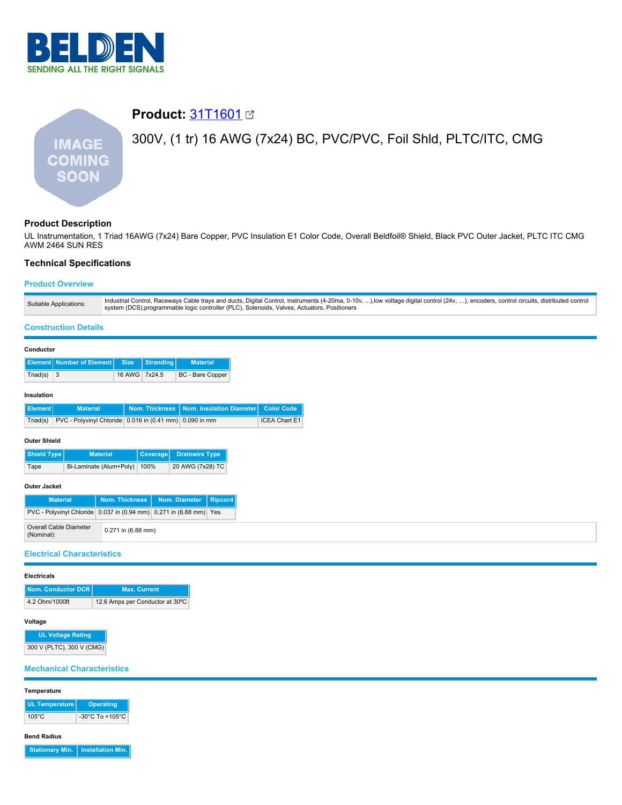

# **Product:** [31T1601](https://catalog.belden.com/index.cfm?event=pd&p=PF_31T1601&tab=downloads) 300V, (1 tr) 16 AWG (7x24) BC, PVC/PVC, Foil Shld, PLTC/ITC, CMG **IMAGE COMING SOON**

# **Product Description**

UL Instrumentation, 1 Triad 16AWG (7x24) Bare Copper, PVC Insulation E1 Color Code, Overall Beldfoil® Shield, Black PVC Outer Jacket, PLTC ITC CMG AWM 2464 SUN RES

# **Technical Specifications**

# **Product Overview**

| Industrial Control, Raceways Cable trays and ducts, Digital Control, Instruments (4-20ma, 0-10v, ),low voltage digital control (24v, ), encoders, control circuits, distributed control<br>Suitable Applications:<br>system (DCS), programmable logic controller (PLC), Solenoids, Valves, Actuators, Positioners |  |
|-------------------------------------------------------------------------------------------------------------------------------------------------------------------------------------------------------------------------------------------------------------------------------------------------------------------|--|
|-------------------------------------------------------------------------------------------------------------------------------------------------------------------------------------------------------------------------------------------------------------------------------------------------------------------|--|

## **Construction Details**

|          | Element   Number of Element   Size   Stranding |               | <b>Material</b>  |
|----------|------------------------------------------------|---------------|------------------|
| Triad(s) | $\vert 3 \vert$                                | 16 AWG 7x24.5 | BC - Bare Copper |

# **Insulation**

| l Element l ' | <b>Material</b>                                                  | Nom. Thickness   Nom. Insulation Diameter   Color Code |               |
|---------------|------------------------------------------------------------------|--------------------------------------------------------|---------------|
|               | Triad(s) PVC - Polyvinyl Chloride 0.016 in (0.41 mm) 0.090 in mm |                                                        | ICEA Chart E1 |

## **Outer Shield**

| Shield Type | <b>Material</b>         |      | Coverage Drainwire Type |
|-------------|-------------------------|------|-------------------------|
| Tape        | Bi-Laminate (Alum+Poly) | 100% | 20 AWG (7x28) TC        |

# **Outer Jacket**

| <b>Material</b>                                                    | Nom. Thickness         | Nom. Diameter   Ripcord |  |
|--------------------------------------------------------------------|------------------------|-------------------------|--|
| PVC - Polyvinyl Chloride 0.037 in (0.94 mm) 0.271 in (6.88 mm) Yes |                        |                         |  |
| Overall Cable Diameter<br>(Nominal):                               | $0.271$ in $(6.88$ mm) |                         |  |

# **Electrical Characteristics**

#### **Electricals**

| Nom. Conductor DCR | <b>Max. Current</b>             |
|--------------------|---------------------------------|
| 4.2 Ohm/1000ft     | 12.6 Amps per Conductor at 30°C |

## **Voltage**

**UL Voltage Rating** 300 V (PLTC), 300 V (CMG)

# **Mechanical Characteristics**

#### **Temperature**

| UL Temperature  | Operating                           |
|-----------------|-------------------------------------|
| $105^{\circ}$ C | $-30^{\circ}$ C To $+105^{\circ}$ C |

## **Bend Radius**

**Stationary Min. Installation Min.**